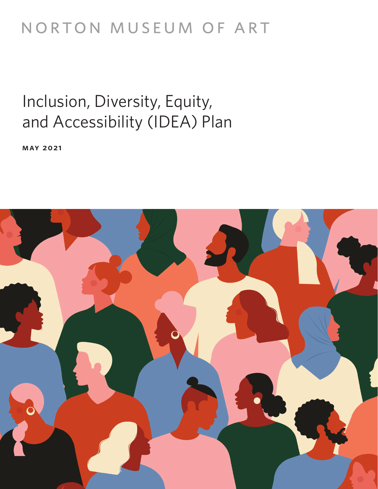# NORTON MUSEUM OF ART

# Inclusion, Diversity, Equity, and Accessibility (IDEA) Plan

**may 2021**

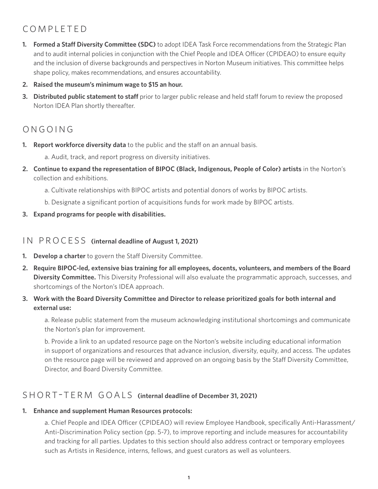## completed

- **1. Formed a Staff Diversity Committee (SDC)** to adopt IDEA Task Force recommendations from the Strategic Plan and to audit internal policies in conjunction with the Chief People and IDEA Officer (CPIDEAO) to ensure equity and the inclusion of diverse backgrounds and perspectives in Norton Museum initiatives. This committee helps shape policy, makes recommendations, and ensures accountability.
- **2. Raised the museum's minimum wage to \$15 an hour.**
- **3.** Distributed public statement to staff prior to larger public release and held staff forum to review the proposed Norton IDEA Plan shortly thereafter.

# ongoing

- **1. Report workforce diversity data** to the public and the staff on an annual basis.
	- a. Audit, track, and report progress on diversity initiatives.
- **2. Continue to expand the representation of BIPOC (Black, Indigenous, People of Color) artists** in the Norton's collection and exhibitions.
	- a. Cultivate relationships with BIPOC artists and potential donors of works by BIPOC artists.
	- b. Designate a significant portion of acquisitions funds for work made by BIPOC artists.
- **3. Expand programs for people with disabilities.**

#### IN PROCESS (internal deadline of August 1, 2021)

- **1. Develop a charter** to govern the Staff Diversity Committee.
- **2. Require BIPOC-led, extensive bias training for all employees, docents, volunteers, and members of the Board Diversity Committee.** This Diversity Professional will also evaluate the programmatic approach, successes, and shortcomings of the Norton's IDEA approach.
- **3. Work with the Board Diversity Committee and Director to release prioritized goals for both internal and external use:**

a. Release public statement from the museum acknowledging institutional shortcomings and communicate the Norton's plan for improvement.

b. Provide a link to an updated resource page on the Norton's website including educational information in support of organizations and resources that advance inclusion, diversity, equity, and access. The updates on the resource page will be reviewed and approved on an ongoing basis by the Staff Diversity Committee, Director, and Board Diversity Committee.

### SHORT-TERM GOALS (internal deadline of December 31, 2021)

#### **1. Enhance and supplement Human Resources protocols:**

a. Chief People and IDEA Officer (CPIDEAO) will review Employee Handbook, specifically Anti-Harassment/ Anti-Discrimination Policy section (pp. 5-7), to improve reporting and include measures for accountability and tracking for all parties. Updates to this section should also address contract or temporary employees such as Artists in Residence, interns, fellows, and guest curators as well as volunteers.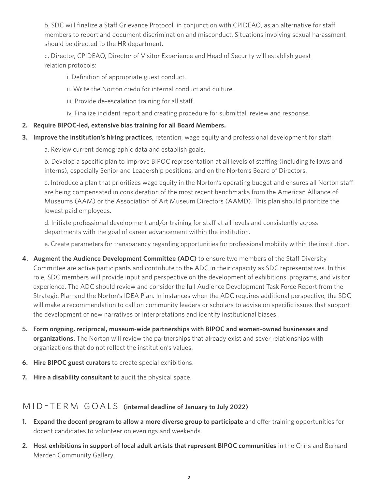b. SDC will finalize a Staff Grievance Protocol, in conjunction with CPIDEAO, as an alternative for staff members to report and document discrimination and misconduct. Situations involving sexual harassment should be directed to the HR department.

c. Director, CPIDEAO, Director of Visitor Experience and Head of Security will establish guest relation protocols:

i. Definition of appropriate guest conduct.

ii. Write the Norton credo for internal conduct and culture.

- iii. Provide de-escalation training for all staff.
- iv. Finalize incident report and creating procedure for submittal, review and response.

#### **2. Require BIPOC-led, extensive bias training for all Board Members.**

- **3. Improve the institution's hiring practices**, retention, wage equity and professional development for staff:
	- a. Review current demographic data and establish goals.

b. Develop a specific plan to improve BIPOC representation at all levels of staffing (including fellows and interns), especially Senior and Leadership positions, and on the Norton's Board of Directors.

c. Introduce a plan that prioritizes wage equity in the Norton's operating budget and ensures all Norton staff are being compensated in consideration of the most recent benchmarks from the American Alliance of Museums (AAM) or the Association of Art Museum Directors (AAMD). This plan should prioritize the lowest paid employees.

d. Initiate professional development and/or training for staff at all levels and consistently across departments with the goal of career advancement within the institution.

e. Create parameters for transparency regarding opportunities for professional mobility within the institution.

- **4. Augment the Audience Development Committee (ADC)** to ensure two members of the Staff Diversity Committee are active participants and contribute to the ADC in their capacity as SDC representatives. In this role, SDC members will provide input and perspective on the development of exhibitions, programs, and visitor experience. The ADC should review and consider the full Audience Development Task Force Report from the Strategic Plan and the Norton's IDEA Plan. In instances when the ADC requires additional perspective, the SDC will make a recommendation to call on community leaders or scholars to advise on specific issues that support the development of new narratives or interpretations and identify institutional biases.
- **5. Form ongoing, reciprocal, museum-wide partnerships with BIPOC and women-owned businesses and organizations.** The Norton will review the partnerships that already exist and sever relationships with organizations that do not reflect the institution's values.
- **6. Hire BIPOC guest curators** to create special exhibitions.
- **7. Hire a disability consultant** to audit the physical space.

### MID-TERM GOALS (internal deadline of January to July 2022)

- **1. Expand the docent program to allow a more diverse group to participate** and offer training opportunities for docent candidates to volunteer on evenings and weekends.
- **2. Host exhibitions in support of local adult artists that represent BIPOC communities** in the Chris and Bernard Marden Community Gallery.